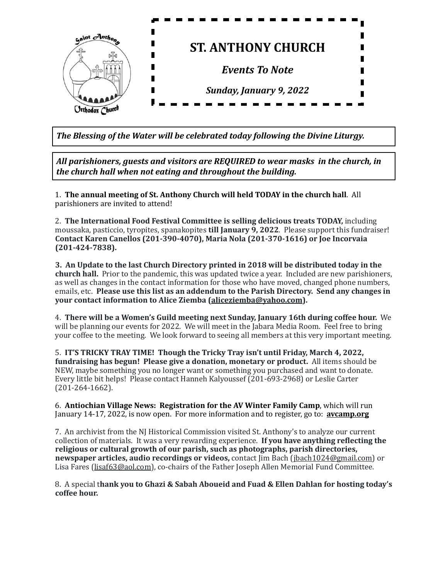

The Blessing of the Water will be celebrated today following the Divine Liturgy.

All parishioners, guests and visitors are REQUIRED to wear masks in the church, in *the church hall when not eating and throughout the building.* 

1. The annual meeting of St. Anthony Church will held TODAY in the church hall. All parishioners are invited to attend!

2. The International Food Festival Committee is selling delicious treats TODAY, including moussaka, pasticcio, tyropites, spanakopites **till January 9, 2022**. Please support this fundraiser! Contact Karen Canellos (201-390-4070), Maria Nola (201-370-1616) or Joe Incorvaia **(201-424-7838).** 

3. An Update to the last Church Directory printed in 2018 will be distributed today in the **church hall.** Prior to the pandemic, this was updated twice a year. Included are new parishioners, as well as changes in the contact information for those who have moved, changed phone numbers, emails, etc. **Please use this list as an addendum to the Parish Directory. Send any changes in your contact information to Alice Ziemba ([aliceziemba@yahoo.com\)](mailto:aliceziemba@yahoo.com).** 

4. There will be a Women's Guild meeting next Sunday, January 16th during coffee hour. We will be planning our events for 2022. We will meet in the Jabara Media Room. Feel free to bring your coffee to the meeting. We look forward to seeing all members at this very important meeting.

5. **IT'S TRICKY TRAY TIME!** Though the Tricky Tray isn't until Friday, March 4, 2022, **fundraising has begun! Please give a donation, monetary or product.** All items should be NEW, maybe something you no longer want or something you purchased and want to donate. Every little bit helps! Please contact Hanneh Kalyoussef (201-693-2968) or Leslie Carter (201-264-1662). 

6. **Antiochian Village News: Registration for the AV Winter Family Camp**, which will run January 14-17, 2022, is now open. For more information and to register, go to: **[avcamp.org](http://avcamp.org)** 

7. An archivist from the NJ Historical Commission visited St. Anthony's to analyze our current collection of materials. It was a very rewarding experience. **If you have anything reflecting the** religious or cultural growth of our parish, such as photographs, parish directories, **newspaper articles, audio recordings or videos,** contact Jim Bach [\(jbach1024@gmail.com\)](mailto:jbach1024@gmail.com) or Lisa Fares ([lisaf63@aol.com\)](mailto:lisaf63@aol.com), co-chairs of the Father Joseph Allen Memorial Fund Committee.

8. A special thank you to Ghazi & Sabah Aboueid and Fuad & Ellen Dahlan for hosting today's **coffee hour.**